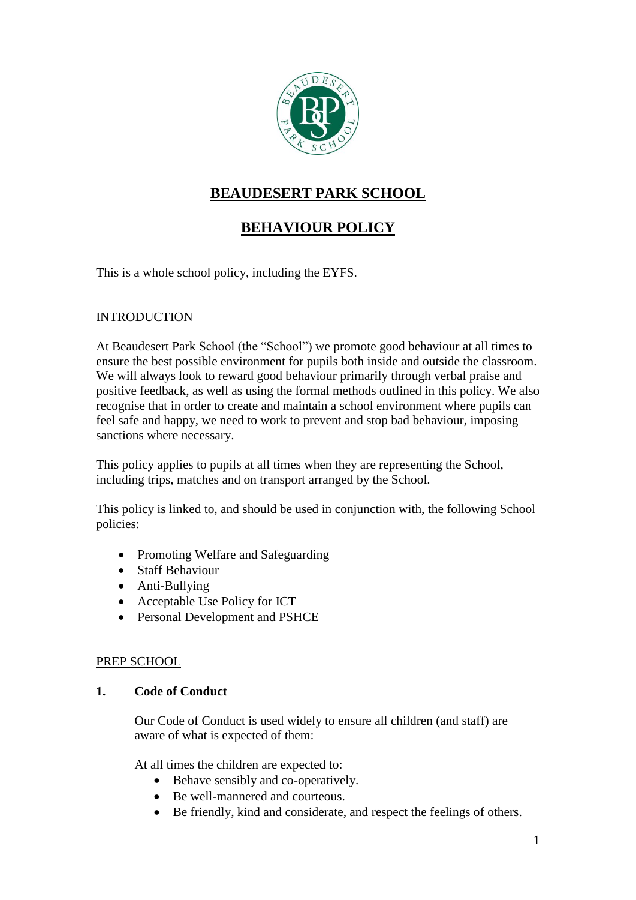

# **BEAUDESERT PARK SCHOOL**

# **BEHAVIOUR POLICY**

This is a whole school policy, including the EYFS.

## INTRODUCTION

At Beaudesert Park School (the "School") we promote good behaviour at all times to ensure the best possible environment for pupils both inside and outside the classroom. We will always look to reward good behaviour primarily through verbal praise and positive feedback, as well as using the formal methods outlined in this policy. We also recognise that in order to create and maintain a school environment where pupils can feel safe and happy, we need to work to prevent and stop bad behaviour, imposing sanctions where necessary.

This policy applies to pupils at all times when they are representing the School, including trips, matches and on transport arranged by the School.

This policy is linked to, and should be used in conjunction with, the following School policies:

- Promoting Welfare and Safeguarding
- Staff Behaviour
- Anti-Bullying
- Acceptable Use Policy for ICT
- Personal Development and PSHCE

## PREP SCHOOL

## **1. Code of Conduct**

Our Code of Conduct is used widely to ensure all children (and staff) are aware of what is expected of them:

At all times the children are expected to:

- Behave sensibly and co-operatively.
- Be well-mannered and courteous.
- Be friendly, kind and considerate, and respect the feelings of others.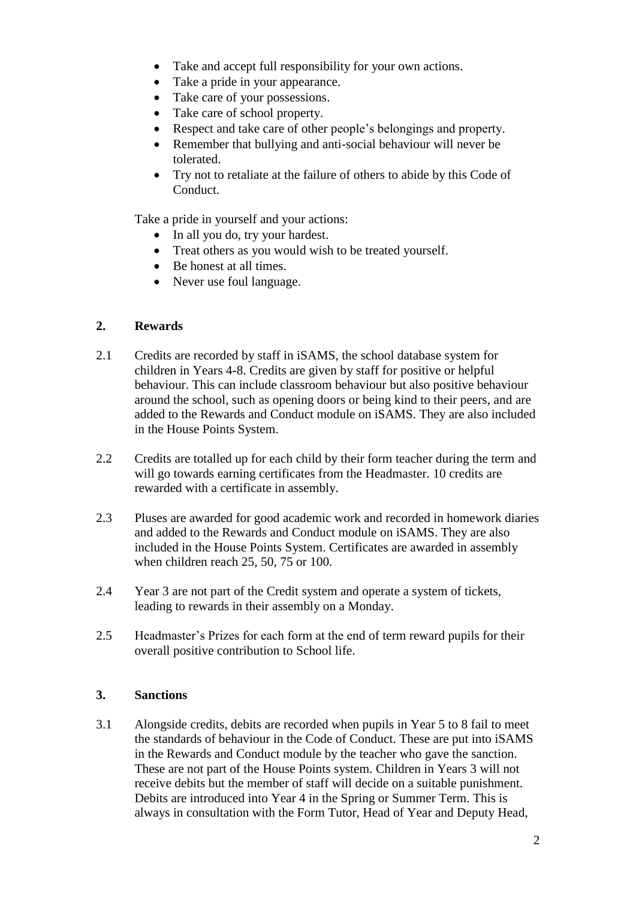- Take and accept full responsibility for your own actions.
- Take a pride in your appearance.
- Take care of your possessions.
- Take care of school property.
- Respect and take care of other people's belongings and property.
- Remember that bullying and anti-social behaviour will never be tolerated.
- Try not to retaliate at the failure of others to abide by this Code of Conduct.

Take a pride in yourself and your actions:

- In all you do, try your hardest.
- Treat others as you would wish to be treated yourself.
- Be honest at all times.
- Never use foul language.

#### **2. Rewards**

- 2.1 Credits are recorded by staff in iSAMS, the school database system for children in Years 4-8. Credits are given by staff for positive or helpful behaviour. This can include classroom behaviour but also positive behaviour around the school, such as opening doors or being kind to their peers, and are added to the Rewards and Conduct module on iSAMS. They are also included in the House Points System.
- 2.2 Credits are totalled up for each child by their form teacher during the term and will go towards earning certificates from the Headmaster. 10 credits are rewarded with a certificate in assembly.
- 2.3 Pluses are awarded for good academic work and recorded in homework diaries and added to the Rewards and Conduct module on iSAMS. They are also included in the House Points System. Certificates are awarded in assembly when children reach 25, 50, 75 or 100.
- 2.4 Year 3 are not part of the Credit system and operate a system of tickets, leading to rewards in their assembly on a Monday.
- 2.5 Headmaster's Prizes for each form at the end of term reward pupils for their overall positive contribution to School life.

#### **3. Sanctions**

3.1 Alongside credits, debits are recorded when pupils in Year 5 to 8 fail to meet the standards of behaviour in the Code of Conduct. These are put into iSAMS in the Rewards and Conduct module by the teacher who gave the sanction. These are not part of the House Points system. Children in Years 3 will not receive debits but the member of staff will decide on a suitable punishment. Debits are introduced into Year 4 in the Spring or Summer Term. This is always in consultation with the Form Tutor, Head of Year and Deputy Head,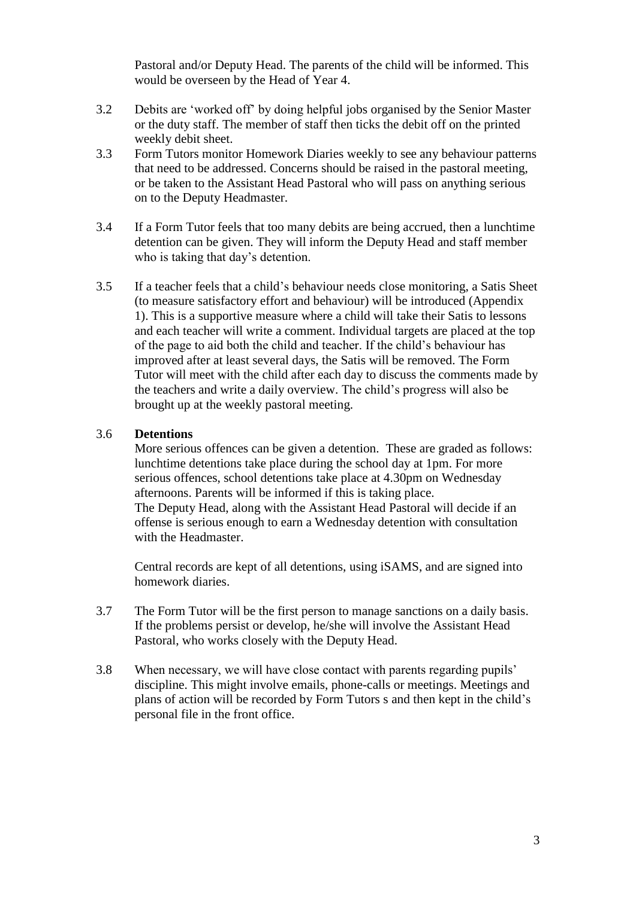Pastoral and/or Deputy Head. The parents of the child will be informed. This would be overseen by the Head of Year 4.

- 3.2 Debits are 'worked off' by doing helpful jobs organised by the Senior Master or the duty staff. The member of staff then ticks the debit off on the printed weekly debit sheet.
- 3.3 Form Tutors monitor Homework Diaries weekly to see any behaviour patterns that need to be addressed. Concerns should be raised in the pastoral meeting, or be taken to the Assistant Head Pastoral who will pass on anything serious on to the Deputy Headmaster.
- 3.4 If a Form Tutor feels that too many debits are being accrued, then a lunchtime detention can be given. They will inform the Deputy Head and staff member who is taking that day's detention.
- 3.5 If a teacher feels that a child's behaviour needs close monitoring, a Satis Sheet (to measure satisfactory effort and behaviour) will be introduced (Appendix 1). This is a supportive measure where a child will take their Satis to lessons and each teacher will write a comment. Individual targets are placed at the top of the page to aid both the child and teacher. If the child's behaviour has improved after at least several days, the Satis will be removed. The Form Tutor will meet with the child after each day to discuss the comments made by the teachers and write a daily overview. The child's progress will also be brought up at the weekly pastoral meeting.

#### 3.6 **Detentions**

More serious offences can be given a detention. These are graded as follows: lunchtime detentions take place during the school day at 1pm. For more serious offences, school detentions take place at 4.30pm on Wednesday afternoons. Parents will be informed if this is taking place. The Deputy Head, along with the Assistant Head Pastoral will decide if an offense is serious enough to earn a Wednesday detention with consultation with the Headmaster.

Central records are kept of all detentions, using iSAMS, and are signed into homework diaries.

- 3.7 The Form Tutor will be the first person to manage sanctions on a daily basis. If the problems persist or develop, he/she will involve the Assistant Head Pastoral, who works closely with the Deputy Head.
- 3.8 When necessary, we will have close contact with parents regarding pupils' discipline. This might involve emails, phone-calls or meetings. Meetings and plans of action will be recorded by Form Tutors s and then kept in the child's personal file in the front office.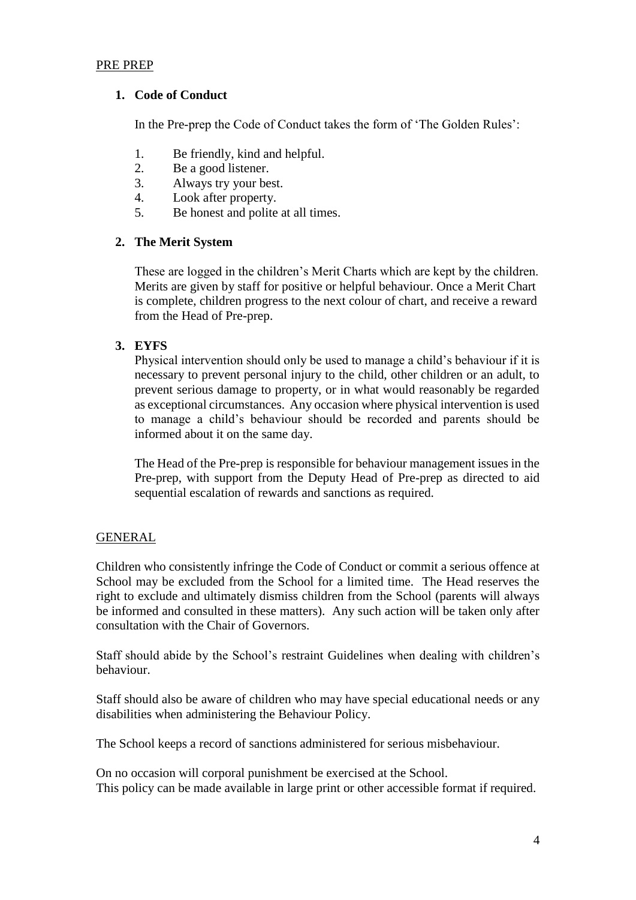#### PRE PREP

#### **1. Code of Conduct**

In the Pre-prep the Code of Conduct takes the form of 'The Golden Rules':

- 1. Be friendly, kind and helpful.
- 2. Be a good listener.
- 3. Always try your best.
- 4. Look after property.
- 5. Be honest and polite at all times.

#### **2. The Merit System**

These are logged in the children's Merit Charts which are kept by the children. Merits are given by staff for positive or helpful behaviour. Once a Merit Chart is complete, children progress to the next colour of chart, and receive a reward from the Head of Pre-prep.

#### **3. EYFS**

Physical intervention should only be used to manage a child's behaviour if it is necessary to prevent personal injury to the child, other children or an adult, to prevent serious damage to property, or in what would reasonably be regarded as exceptional circumstances. Any occasion where physical intervention is used to manage a child's behaviour should be recorded and parents should be informed about it on the same day.

The Head of the Pre-prep is responsible for behaviour management issues in the Pre-prep, with support from the Deputy Head of Pre-prep as directed to aid sequential escalation of rewards and sanctions as required.

#### GENERAL

Children who consistently infringe the Code of Conduct or commit a serious offence at School may be excluded from the School for a limited time. The Head reserves the right to exclude and ultimately dismiss children from the School (parents will always be informed and consulted in these matters). Any such action will be taken only after consultation with the Chair of Governors.

Staff should abide by the School's restraint Guidelines when dealing with children's behaviour.

Staff should also be aware of children who may have special educational needs or any disabilities when administering the Behaviour Policy.

The School keeps a record of sanctions administered for serious misbehaviour.

On no occasion will corporal punishment be exercised at the School. This policy can be made available in large print or other accessible format if required.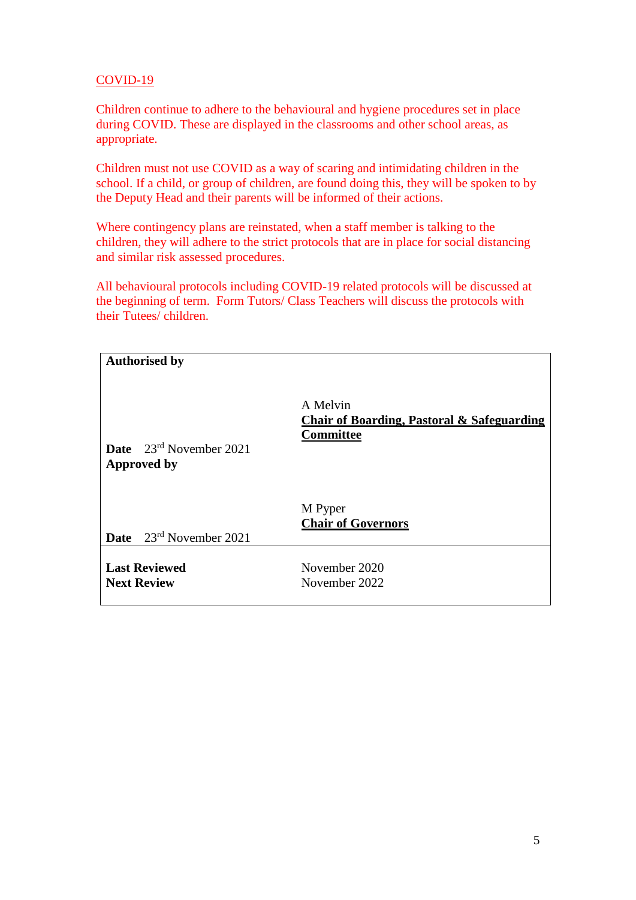## COVID-19

Children continue to adhere to the behavioural and hygiene procedures set in place during COVID. These are displayed in the classrooms and other school areas, as appropriate.

Children must not use COVID as a way of scaring and intimidating children in the school. If a child, or group of children, are found doing this, they will be spoken to by the Deputy Head and their parents will be informed of their actions.

Where contingency plans are reinstated, when a staff member is talking to the children, they will adhere to the strict protocols that are in place for social distancing and similar risk assessed procedures.

All behavioural protocols including COVID-19 related protocols will be discussed at the beginning of term. Form Tutors/ Class Teachers will discuss the protocols with their Tutees/ children.

| <b>Authorised by</b>                                      |                                                                                       |
|-----------------------------------------------------------|---------------------------------------------------------------------------------------|
| <b>Date</b> $23^{rd}$ November 2021<br><b>Approved by</b> | A Melvin<br><b>Chair of Boarding, Pastoral &amp; Safeguarding</b><br><b>Committee</b> |
| <b>Date</b> $23^{rd}$ November 2021                       | M Pyper<br><b>Chair of Governors</b>                                                  |
| <b>Last Reviewed</b><br><b>Next Review</b>                | November 2020<br>November 2022                                                        |